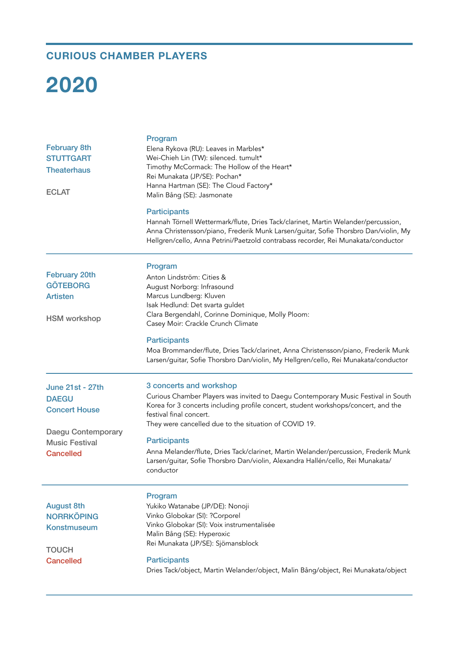## **CURIOUS CHAMBER PLAYERS**

## **2020**

| <b>February 8th</b><br><b>STUTTGART</b><br><b>Theaterhaus</b><br><b>ECLAT</b>                    | Program<br>Elena Rykova (RU): Leaves in Marbles*<br>Wei-Chieh Lin (TW): silenced. tumult*<br>Timothy McCormack: The Hollow of the Heart*<br>Rei Munakata (JP/SE): Pochan*<br>Hanna Hartman (SE): The Cloud Factory*<br>Malin Bång (SE): Jasmonate                                                          |
|--------------------------------------------------------------------------------------------------|------------------------------------------------------------------------------------------------------------------------------------------------------------------------------------------------------------------------------------------------------------------------------------------------------------|
|                                                                                                  | <b>Participants</b><br>Hannah Törnell Wettermark/flute, Dries Tack/clarinet, Martin Welander/percussion,<br>Anna Christensson/piano, Frederik Munk Larsen/guitar, Sofie Thorsbro Dan/violin, My<br>Hellgren/cello, Anna Petrini/Paetzold contrabass recorder, Rei Munakata/conductor                       |
| <b>February 20th</b><br><b>GÖTEBORG</b><br><b>Artisten</b><br><b>HSM</b> workshop                | Program<br>Anton Lindström: Cities &<br>August Norborg: Infrasound<br>Marcus Lundberg: Kluven<br>Isak Hedlund: Det svarta guldet<br>Clara Bergendahl, Corinne Dominique, Molly Ploom:<br>Casey Moir: Crackle Crunch Climate                                                                                |
|                                                                                                  | <b>Participants</b><br>Moa Brommander/flute, Dries Tack/clarinet, Anna Christensson/piano, Frederik Munk<br>Larsen/guitar, Sofie Thorsbro Dan/violin, My Hellgren/cello, Rei Munakata/conductor                                                                                                            |
| <b>June 21st - 27th</b><br><b>DAEGU</b><br><b>Concert House</b><br>Daegu Contemporary            | 3 concerts and workshop<br>Curious Chamber Players was invited to Daegu Contemporary Music Festival in South<br>Korea for 3 concerts including profile concert, student workshops/concert, and the<br>festival final concert.<br>They were cancelled due to the situation of COVID 19.                     |
| <b>Music Festival</b><br><b>Cancelled</b>                                                        | <b>Participants</b><br>Anna Melander/flute, Dries Tack/clarinet, Martin Welander/percussion, Frederik Munk<br>Larsen/guitar, Sofie Thorsbro Dan/violin, Alexandra Hallén/cello, Rei Munakata/<br>conductor                                                                                                 |
| <b>August 8th</b><br><b>NORRKÖPING</b><br><b>Konstmuseum</b><br><b>TOUCH</b><br><b>Cancelled</b> | Program<br>Yukiko Watanabe (JP/DE): Nonoji<br>Vinko Globokar (SI): ?Corporel<br>Vinko Globokar (SI): Voix instrumentalisée<br>Malin Bång (SE): Hyperoxic<br>Rei Munakata (JP/SE): Sjömansblock<br><b>Participants</b><br>Dries Tack/object, Martin Welander/object, Malin Bång/object, Rei Munakata/object |
|                                                                                                  |                                                                                                                                                                                                                                                                                                            |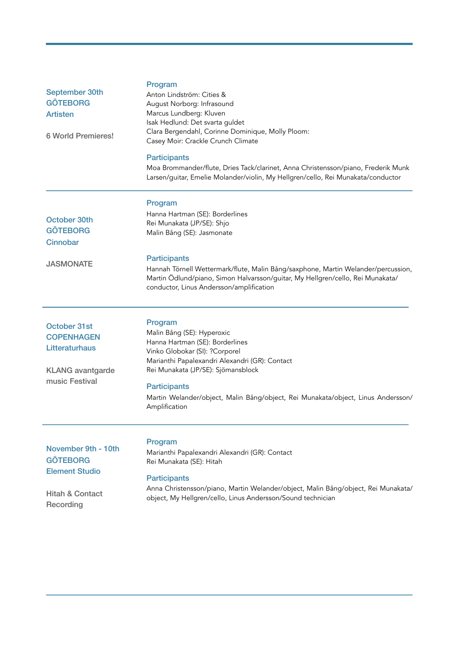| September 30th<br><b>GÖTEBORG</b><br><b>Artisten</b><br><b>6 World Premieres!</b>                          | Program<br>Anton Lindström: Cities &<br>August Norborg: Infrasound<br>Marcus Lundberg: Kluven<br>Isak Hedlund: Det svarta guldet<br>Clara Bergendahl, Corinne Dominique, Molly Ploom:<br>Casey Moir: Crackle Crunch Climate<br><b>Participants</b><br>Moa Brommander/flute, Dries Tack/clarinet, Anna Christensson/piano, Frederik Munk<br>Larsen/guitar, Emelie Molander/violin, My Hellgren/cello, Rei Munakata/conductor |
|------------------------------------------------------------------------------------------------------------|-----------------------------------------------------------------------------------------------------------------------------------------------------------------------------------------------------------------------------------------------------------------------------------------------------------------------------------------------------------------------------------------------------------------------------|
| October 30th<br><b>GÖTEBORG</b><br>Cinnobar                                                                | Program<br>Hanna Hartman (SE): Borderlines<br>Rei Munakata (JP/SE): Shjo<br>Malin Bång (SE): Jasmonate                                                                                                                                                                                                                                                                                                                      |
| <b>JASMONATE</b>                                                                                           | <b>Participants</b><br>Hannah Törnell Wettermark/flute, Malin Bång/saxphone, Martin Welander/percussion,<br>Martin Ödlund/piano, Simon Halvarsson/guitar, My Hellgren/cello, Rei Munakata/<br>conductor, Linus Andersson/amplification                                                                                                                                                                                      |
| October 31st<br><b>COPENHAGEN</b><br>Litteraturhaus<br><b>KLANG</b> avantgarde<br>music Festival           | Program<br>Malin Bång (SE): Hyperoxic<br>Hanna Hartman (SE): Borderlines<br>Vinko Globokar (SI): ?Corporel<br>Marianthi Papalexandri Alexandri (GR): Contact<br>Rei Munakata (JP/SE): Sjömansblock<br><b>Participants</b><br>Martin Welander/object, Malin Bång/object, Rei Munakata/object, Linus Andersson/<br>Amplification                                                                                              |
| November 9th - 10th<br><b>GÖTEBORG</b><br><b>Element Studio</b><br><b>Hitah &amp; Contact</b><br>Recording | Program<br>Marianthi Papalexandri Alexandri (GR): Contact<br>Rei Munakata (SE): Hitah<br><b>Participants</b><br>Anna Christensson/piano, Martin Welander/object, Malin Bång/object, Rei Munakata/<br>object, My Hellgren/cello, Linus Andersson/Sound technician                                                                                                                                                            |